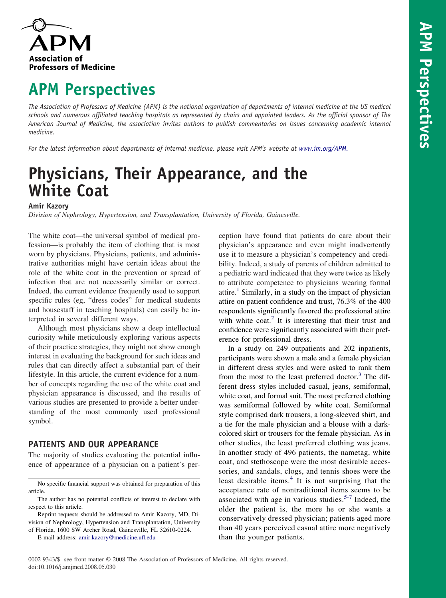

# **APM Perspectives**

The Association of Professors of Medicine (APM) is the national organization of departments of internal medicine at the US medical schools and numerous affiliated teaching hospitals as represented by chairs and appointed leaders. As the official sponsor of The American Journal of Medicine, the association invites authors to publish commentaries on issues concerning academic internal *medicine.*

*For the latest information about departments of internal medicine, please visit APM's website at [www.im.org/APM.](www.im.org/APM)*

# **Physicians, Their Appearance, and the White Coat**

### **Amir Kazory**

*Division of Nephrology, Hypertension, and Transplantation, University of Florida, Gainesville.*

The white coat—the universal symbol of medical profession—is probably the item of clothing that is most worn by physicians. Physicians, patients, and administrative authorities might have certain ideas about the role of the white coat in the prevention or spread of infection that are not necessarily similar or correct. Indeed, the current evidence frequently used to support specific rules (eg, "dress codes" for medical students and housestaff in teaching hospitals) can easily be interpreted in several different ways.

Although most physicians show a deep intellectual curiosity while meticulously exploring various aspects of their practice strategies, they might not show enough interest in evaluating the background for such ideas and rules that can directly affect a substantial part of their lifestyle. In this article, the current evidence for a number of concepts regarding the use of the white coat and physician appearance is discussed, and the results of various studies are presented to provide a better understanding of the most commonly used professional symbol.

# **PATIENTS AND OUR APPEARANCE**

The majority of studies evaluating the potential influence of appearance of a physician on a patient's per-

E-mail address: [amir.kazory@medicine.ufl.edu](mailto:amir.kazory@medicine.ufl.edu)

ception have found that patients do care about their physician's appearance and even might inadvertently use it to measure a physician's competency and credibility. Indeed, a study of parents of children admitted to a pediatric ward indicated that they were twice as likely to attribute competence to physicians wearing formal attire.<sup>[1](#page-3-0)</sup> Similarly, in a study on the impact of physician attire on patient confidence and trust, 76.3% of the 400 respondents significantly favored the professional attire with white  $\text{cot}^2$  $\text{cot}^2$ . It is interesting that their trust and confidence were significantly associated with their preference for professional dress.

In a study on 249 outpatients and 202 inpatients, participants were shown a male and a female physician in different dress styles and were asked to rank them from the most to the least preferred doctor.<sup>[3](#page-3-0)</sup> The different dress styles included casual, jeans, semiformal, white coat, and formal suit. The most preferred clothing was semiformal followed by white coat. Semiformal style comprised dark trousers, a long-sleeved shirt, and a tie for the male physician and a blouse with a darkcolored skirt or trousers for the female physician. As in other studies, the least preferred clothing was jeans. In another study of 496 patients, the nametag, white coat, and stethoscope were the most desirable accessories, and sandals, clogs, and tennis shoes were the least desirable items. $4$  It is not surprising that the acceptance rate of nontraditional items seems to be associated with age in various studies.<sup>[5-7](#page-3-0)</sup> Indeed, the older the patient is, the more he or she wants a conservatively dressed physician; patients aged more than 40 years perceived casual attire more negatively than the younger patients.

No specific financial support was obtained for preparation of this article.

The author has no potential conflicts of interest to declare with respect to this article.

Reprint requests should be addressed to Amir Kazory, MD, Division of Nephrology, Hypertension and Transplantation, University of Florida, 1600 SW Archer Road, Gainesville, FL 32610-0224.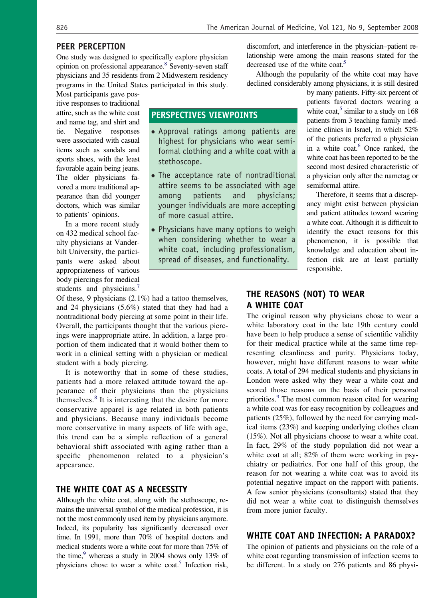### **PEER PERCEPTION**

One study was designed to specifically explore physician opinion on professional appearance.<sup>8</sup> Seventy-seven staff physicians and 35 residents from 2 Midwestern residency programs in the United States participated in this study.

**PERSPECTIVES VIEWPOINTS**

stethoscope.

of more casual attire.

● Approval ratings among patients are highest for physicians who wear semiformal clothing and a white coat with a

● The acceptance rate of nontraditional attire seems to be associated with age among patients and physicians; younger individuals are more accepting

● Physicians have many options to weigh when considering whether to wear a white coat, including professionalism, spread of diseases, and functionality.

Most participants gave positive responses to traditional attire, such as the white coat and name tag, and shirt and tie. Negative responses were associated with casual items such as sandals and sports shoes, with the least favorable again being jeans. The older physicians favored a more traditional appearance than did younger doctors, which was similar to patients' opinions.

In a more recent study on 432 medical school faculty physicians at Vanderbilt University, the participants were asked about appropriateness of various body piercings for medical students and physicians.<sup>[7](#page-3-0)</sup>

Of these, 9 physicians (2.1%) had a tattoo themselves, and 24 physicians (5.6%) stated that they had had a nontraditional body piercing at some point in their life. Overall, the participants thought that the various piercings were inappropriate attire. In addition, a large proportion of them indicated that it would bother them to work in a clinical setting with a physician or medical student with a body piercing.

It is noteworthy that in some of these studies, patients had a more relaxed attitude toward the appearance of their physicians than the physicians themselves.<sup>[8](#page-3-0)</sup> It is interesting that the desire for more conservative apparel is age related in both patients and physicians. Because many individuals become more conservative in many aspects of life with age, this trend can be a simple reflection of a general behavioral shift associated with aging rather than a specific phenomenon related to a physician's appearance.

## **THE WHITE COAT AS A NECESSITY**

Although the white coat, along with the stethoscope, remains the universal symbol of the medical profession, it is not the most commonly used item by physicians anymore. Indeed, its popularity has significantly decreased over time. In 1991, more than 70% of hospital doctors and medical students wore a white coat for more than 75% of the time, $9$  whereas a study in 2004 shows only 13% of physicians chose to wear a white coat.<sup>5</sup> Infection risk,

discomfort, and interference in the physician–patient relationship were among the main reasons stated for the decreased use of the white coat.<sup>5</sup>

Although the popularity of the white coat may have declined considerably among physicians, it is still desired

by many patients. Fifty-six percent of patients favored doctors wearing a white coat,<sup>5</sup> similar to a study on  $168$ patients from 3 teaching family medicine clinics in Israel, in which 52% of the patients preferred a physician in a white coat.<sup>6</sup> Once ranked, the white coat has been reported to be the second most desired characteristic of a physician only after the nametag or semiformal attire.

Therefore, it seems that a discrepancy might exist between physician and patient attitudes toward wearing a white coat. Although it is difficult to identify the exact reasons for this phenomenon, it is possible that knowledge and education about infection risk are at least partially responsible.

## **THE REASONS (NOT) TO WEAR A WHITE COAT**

The original reason why physicians chose to wear a white laboratory coat in the late 19th century could have been to help produce a sense of scientific validity for their medical practice while at the same time representing cleanliness and purity. Physicians today, however, might have different reasons to wear white coats. A total of 294 medical students and physicians in London were asked why they wear a white coat and scored those reasons on the basis of their personal priorities.<sup>[9](#page-3-0)</sup> The most common reason cited for wearing a white coat was for easy recognition by colleagues and patients (25%), followed by the need for carrying medical items (23%) and keeping underlying clothes clean (15%). Not all physicians choose to wear a white coat. In fact, 29% of the study population did not wear a white coat at all; 82% of them were working in psychiatry or pediatrics. For one half of this group, the reason for not wearing a white coat was to avoid its potential negative impact on the rapport with patients. A few senior physicians (consultants) stated that they did not wear a white coat to distinguish themselves from more junior faculty.

### **WHITE COAT AND INFECTION: A PARADOX?**

The opinion of patients and physicians on the role of a white coat regarding transmission of infection seems to be different. In a study on 276 patients and 86 physi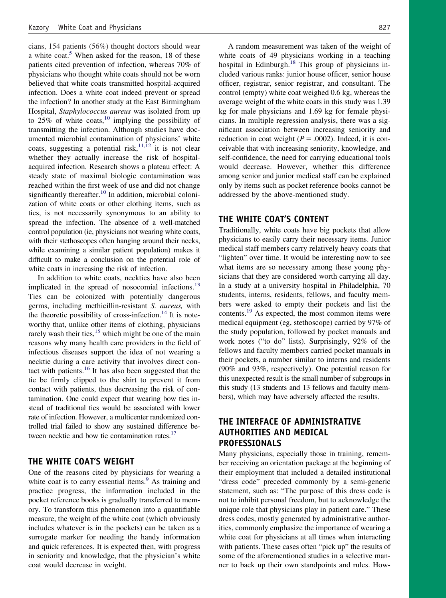cians, 154 patients (56%) thought doctors should wear a white coat.<sup>[5](#page-3-0)</sup> When asked for the reason, 18 of these patients cited prevention of infection, whereas 70% of physicians who thought white coats should not be worn believed that white coats transmitted hospital-acquired infection. Does a white coat indeed prevent or spread the infection? In another study at the East Birmingham Hospital, *Staphylococcus aureus* was isolated from up to  $25\%$  of white coats,<sup>[10](#page-3-0)</sup> implying the possibility of transmitting the infection. Although studies have documented microbial contamination of physicians' white coats, suggesting a potential risk,  $11,12$  it is not clear whether they actually increase the risk of hospitalacquired infection. Research shows a plateau effect: A steady state of maximal biologic contamination was reached within the first week of use and did not change significantly thereafter.<sup>[10](#page-3-0)</sup> In addition, microbial colonization of white coats or other clothing items, such as ties, is not necessarily synonymous to an ability to spread the infection. The absence of a well-matched control population (ie, physicians not wearing white coats, with their stethoscopes often hanging around their necks, while examining a similar patient population) makes it difficult to make a conclusion on the potential role of white coats in increasing the risk of infection.

In addition to white coats, neckties have also been implicated in the spread of nosocomial infections.<sup>[13](#page-3-0)</sup> Ties can be colonized with potentially dangerous germs, including methicillin-resistant *S. aureus,* with the theoretic possibility of cross-infection.<sup>[14](#page-3-0)</sup> It is noteworthy that, unlike other items of clothing, physicians rarely wash their ties,  $15$  which might be one of the main reasons why many health care providers in the field of infectious diseases support the idea of not wearing a necktie during a care activity that involves direct con-tact with patients.<sup>[16](#page-3-0)</sup> It has also been suggested that the tie be firmly clipped to the shirt to prevent it from contact with patients, thus decreasing the risk of contamination. One could expect that wearing bow ties instead of traditional ties would be associated with lower rate of infection. However, a multicenter randomized controlled trial failed to show any sustained difference between necktie and bow tie contamination rates.<sup>17</sup>

## **THE WHITE COAT'S WEIGHT**

One of the reasons cited by physicians for wearing a white coat is to carry essential items. $9$  As training and practice progress, the information included in the pocket reference books is gradually transferred to memory. To transform this phenomenon into a quantifiable measure, the weight of the white coat (which obviously includes whatever is in the pockets) can be taken as a surrogate marker for needing the handy information and quick references. It is expected then, with progress in seniority and knowledge, that the physician's white coat would decrease in weight.

A random measurement was taken of the weight of white coats of 49 physicians working in a teaching hospital in Edinburgh. $18$  This group of physicians included various ranks: junior house officer, senior house officer, registrar, senior registrar, and consultant. The control (empty) white coat weighed 0.6 kg, whereas the average weight of the white coats in this study was 1.39 kg for male physicians and 1.69 kg for female physicians. In multiple regression analysis, there was a significant association between increasing seniority and reduction in coat weight  $(P = .0002)$ . Indeed, it is conceivable that with increasing seniority, knowledge, and self-confidence, the need for carrying educational tools would decrease. However, whether this difference among senior and junior medical staff can be explained only by items such as pocket reference books cannot be addressed by the above-mentioned study.

#### **THE WHITE COAT'S CONTENT**

Traditionally, white coats have big pockets that allow physicians to easily carry their necessary items. Junior medical staff members carry relatively heavy coats that "lighten" over time. It would be interesting now to see what items are so necessary among these young physicians that they are considered worth carrying all day. In a study at a university hospital in Philadelphia, 70 students, interns, residents, fellows, and faculty members were asked to empty their pockets and list the contents.[19](#page-3-0) As expected, the most common items were medical equipment (eg, stethoscope) carried by 97% of the study population, followed by pocket manuals and work notes ("to do" lists). Surprisingly, 92% of the fellows and faculty members carried pocket manuals in their pockets, a number similar to interns and residents (90% and 93%, respectively). One potential reason for this unexpected result is the small number of subgroups in this study (13 students and 13 fellows and faculty members), which may have adversely affected the results.

# **THE INTERFACE OF ADMINISTRATIVE AUTHORITIES AND MEDICAL PROFESSIONALS**

Many physicians, especially those in training, remember receiving an orientation package at the beginning of their employment that included a detailed institutional "dress code" preceded commonly by a semi-generic statement, such as: "The purpose of this dress code is not to inhibit personal freedom, but to acknowledge the unique role that physicians play in patient care." These dress codes, mostly generated by administrative authorities, commonly emphasize the importance of wearing a white coat for physicians at all times when interacting with patients. These cases often "pick up" the results of some of the aforementioned studies in a selective manner to back up their own standpoints and rules. How